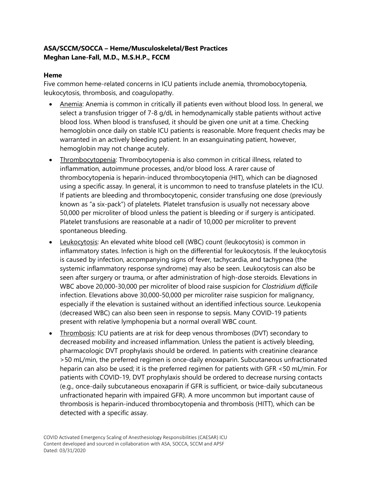## **ASA/SCCM/SOCCA – Heme/Musculoskeletal/Best Practices Meghan Lane-Fall, M.D., M.S.H.P., FCCM**

## **Heme**

Five common heme-related concerns in ICU patients include anemia, thromobocytopenia, leukocytosis, thrombosis, and coagulopathy.

- Anemia: Anemia is common in critically ill patients even without blood loss. In general, we select a transfusion trigger of 7-8 g/dL in hemodynamically stable patients without active blood loss. When blood is transfused, it should be given one unit at a time. Checking hemoglobin once daily on stable ICU patients is reasonable. More frequent checks may be warranted in an actively bleeding patient. In an exsanguinating patient, however, hemoglobin may not change acutely.
- Thrombocytopenia: Thrombocytopenia is also common in critical illness, related to inflammation, autoimmune processes, and/or blood loss. A rarer cause of thrombocytopenia is heparin-induced thrombocytopenia (HIT), which can be diagnosed using a specific assay. In general, it is uncommon to need to transfuse platelets in the ICU. If patients are bleeding and thrombocytopenic, consider transfusing one dose (previously known as "a six-pack") of platelets. Platelet transfusion is usually not necessary above 50,000 per microliter of blood unless the patient is bleeding or if surgery is anticipated. Platelet transfusions are reasonable at a nadir of 10,000 per microliter to prevent spontaneous bleeding.
- Leukocytosis: An elevated white blood cell (WBC) count (leukocytosis) is common in inflammatory states. Infection is high on the differential for leukocytosis. If the leukocytosis is caused by infection, accompanying signs of fever, tachycardia, and tachypnea (the systemic inflammatory response syndrome) may also be seen. Leukocytosis can also be seen after surgery or trauma, or after administration of high-dose steroids. Elevations in WBC above 20,000-30,000 per microliter of blood raise suspicion for *Clostridium difficile* infection. Elevations above 30,000-50,000 per microliter raise suspicion for malignancy, especially if the elevation is sustained without an identified infectious source. Leukopenia (decreased WBC) can also been seen in response to sepsis. Many COVID-19 patients present with relative lymphopenia but a normal overall WBC count.
- Thrombosis: ICU patients are at risk for deep venous thromboses (DVT) secondary to decreased mobility and increased inflammation. Unless the patient is actively bleeding, pharmacologic DVT prophylaxis should be ordered. In patients with creatinine clearance >50 mL/min, the preferred regimen is once-daily enoxaparin. Subcutaneous unfractionated heparin can also be used; it is the preferred regimen for patients with GFR <50 mL/min. For patients with COVID-19, DVT prophylaxis should be ordered to decrease nursing contacts (e.g., once-daily subcutaneous enoxaparin if GFR is sufficient, or twice-daily subcutaneous unfractionated heparin with impaired GFR). A more uncommon but important cause of thrombosis is heparin-induced thrombocytopenia and thrombosis (HITT), which can be detected with a specific assay.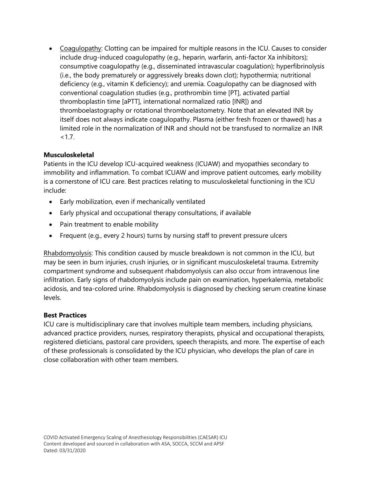Coagulopathy: Clotting can be impaired for multiple reasons in the ICU. Causes to consider include drug-induced coagulopathy (e.g., heparin, warfarin, anti-factor Xa inhibitors); consumptive coagulopathy (e.g., disseminated intravascular coagulation); hyperfibrinolysis (i.e., the body prematurely or aggressively breaks down clot); hypothermia; nutritional deficiency (e.g., vitamin K deficiency); and uremia. Coagulopathy can be diagnosed with conventional coagulation studies (e.g., prothrombin time [PT], activated partial thromboplastin time [aPTT], international normalized ratio [INR]) and thromboelastography or rotational thromboelastometry. Note that an elevated INR by itself does not always indicate coagulopathy. Plasma (either fresh frozen or thawed) has a limited role in the normalization of INR and should not be transfused to normalize an INR  $< 1.7.$ 

## **Musculoskeletal**

Patients in the ICU develop ICU-acquired weakness (ICUAW) and myopathies secondary to immobility and inflammation. To combat ICUAW and improve patient outcomes, early mobility is a cornerstone of ICU care. Best practices relating to musculoskeletal functioning in the ICU include:

- Early mobilization, even if mechanically ventilated
- Early physical and occupational therapy consultations, if available
- Pain treatment to enable mobility
- Frequent (e.g., every 2 hours) turns by nursing staff to prevent pressure ulcers

Rhabdomyolysis: This condition caused by muscle breakdown is not common in the ICU, but may be seen in burn injuries, crush injuries, or in significant musculoskeletal trauma. Extremity compartment syndrome and subsequent rhabdomyolysis can also occur from intravenous line infiltration. Early signs of rhabdomyolysis include pain on examination, hyperkalemia, metabolic acidosis, and tea-colored urine. Rhabdomyolysis is diagnosed by checking serum creatine kinase levels.

## **Best Practices**

ICU care is multidisciplinary care that involves multiple team members, including physicians, advanced practice providers, nurses, respiratory therapists, physical and occupational therapists, registered dieticians, pastoral care providers, speech therapists, and more. The expertise of each of these professionals is consolidated by the ICU physician, who develops the plan of care in close collaboration with other team members.